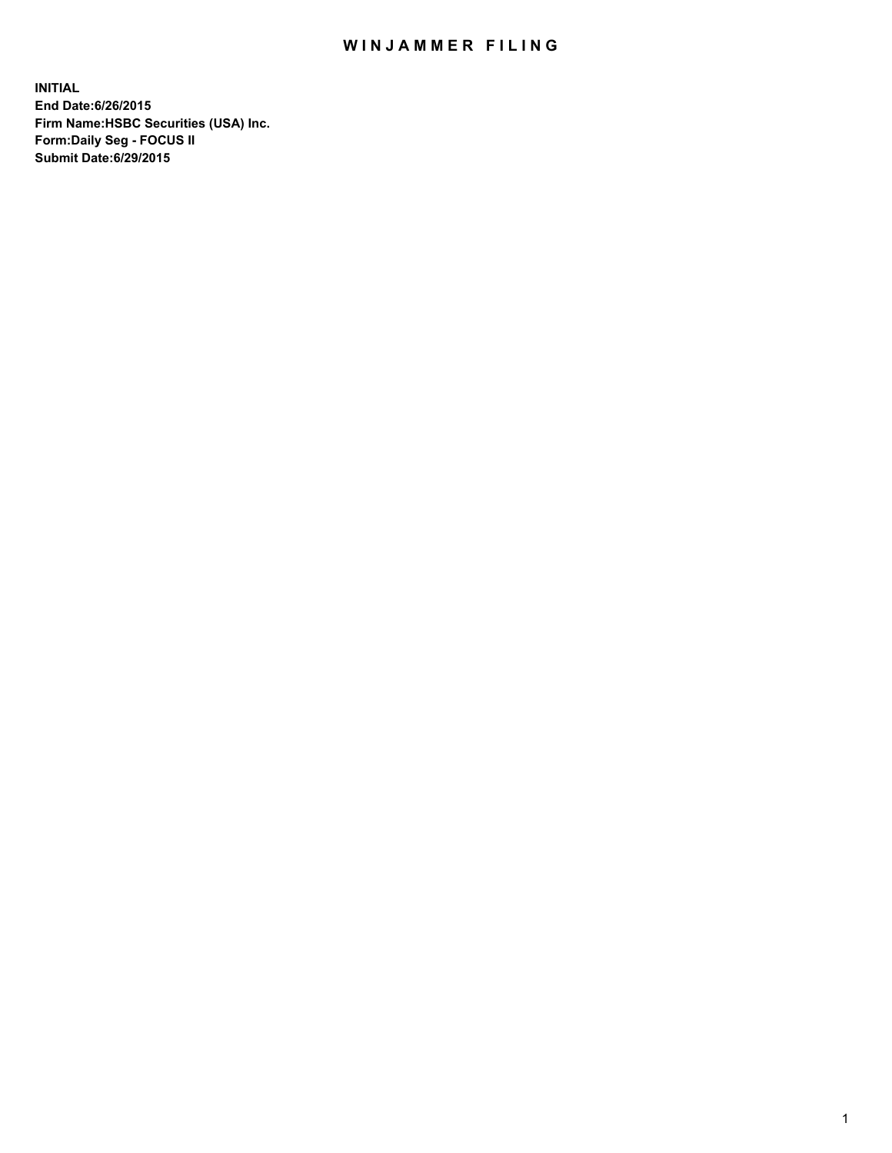## WIN JAMMER FILING

**INITIAL End Date:6/26/2015 Firm Name:HSBC Securities (USA) Inc. Form:Daily Seg - FOCUS II Submit Date:6/29/2015**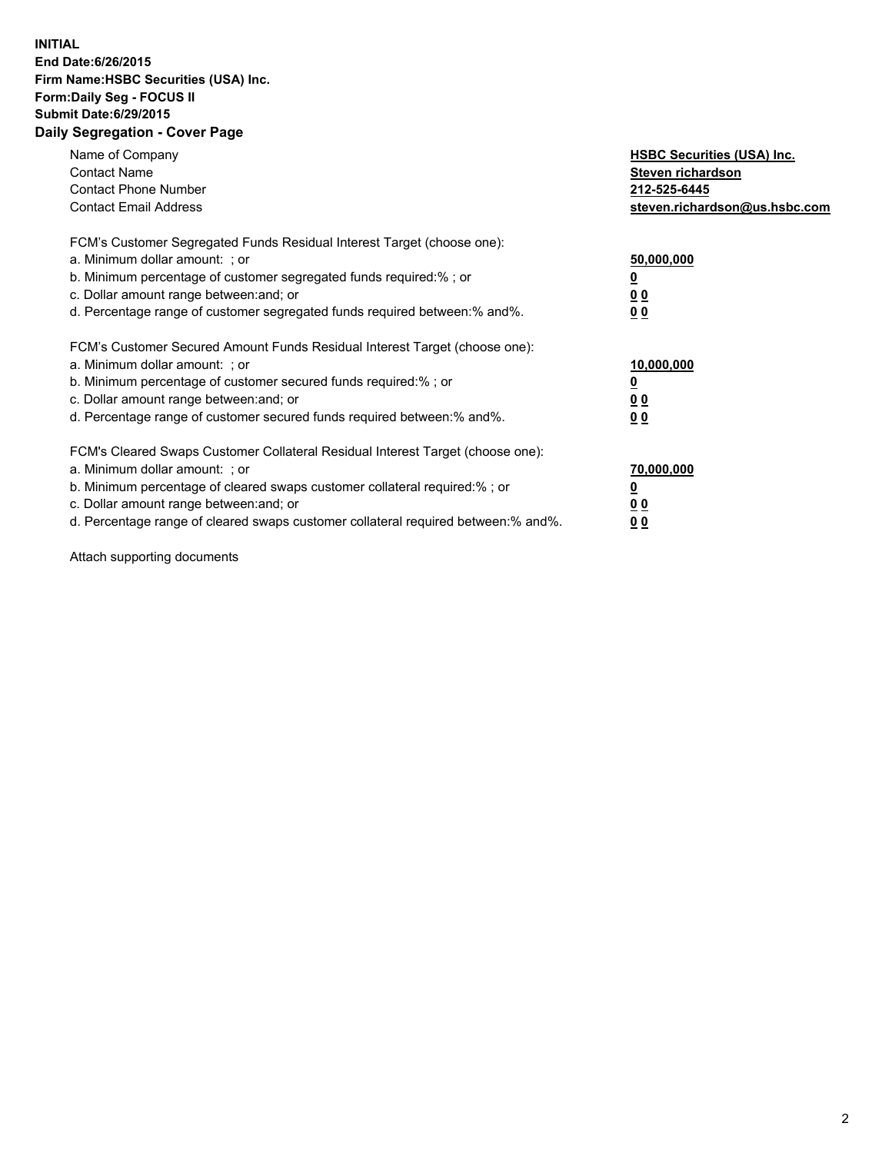## **INITIAL End Date:6/26/2015 Firm Name:HSBC Securities (USA) Inc. Form:Daily Seg - FOCUS II Submit Date:6/29/2015 Daily Segregation - Cover Page**

| Name of Company<br><b>Contact Name</b><br><b>Contact Phone Number</b><br><b>Contact Email Address</b>                                                                                                                                                                                                                         | <b>HSBC Securities (USA) Inc.</b><br>Steven richardson<br>212-525-6445<br>steven.richardson@us.hsbc.com |
|-------------------------------------------------------------------------------------------------------------------------------------------------------------------------------------------------------------------------------------------------------------------------------------------------------------------------------|---------------------------------------------------------------------------------------------------------|
| FCM's Customer Segregated Funds Residual Interest Target (choose one):<br>a. Minimum dollar amount: ; or<br>b. Minimum percentage of customer segregated funds required:%; or<br>c. Dollar amount range between: and; or<br>d. Percentage range of customer segregated funds required between:% and%.                         | 50,000,000<br>00<br>0 <sub>0</sub>                                                                      |
| FCM's Customer Secured Amount Funds Residual Interest Target (choose one):<br>a. Minimum dollar amount: ; or<br>b. Minimum percentage of customer secured funds required:%; or<br>c. Dollar amount range between: and; or<br>d. Percentage range of customer secured funds required between:% and%.                           | 10,000,000<br>0 <sub>0</sub><br>00                                                                      |
| FCM's Cleared Swaps Customer Collateral Residual Interest Target (choose one):<br>a. Minimum dollar amount: ; or<br>b. Minimum percentage of cleared swaps customer collateral required:%; or<br>c. Dollar amount range between: and; or<br>d. Percentage range of cleared swaps customer collateral required between:% and%. | 70,000,000<br><u>00</u><br><u>00</u>                                                                    |

Attach supporting documents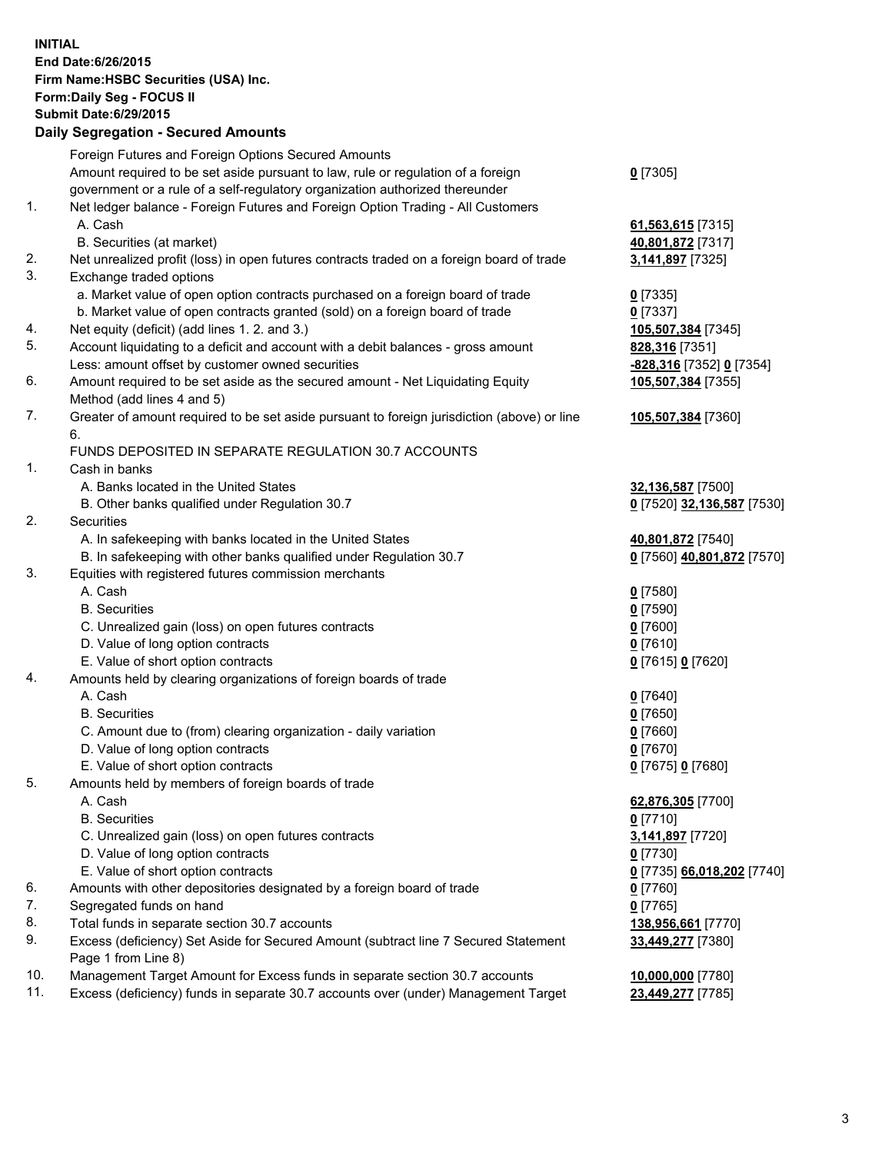**INITIAL End Date:6/26/2015 Firm Name:HSBC Securities (USA) Inc. Form:Daily Seg - FOCUS II Submit Date:6/29/2015 Daily Segregation - Secured Amounts**

Foreign Futures and Foreign Options Secured Amounts Amount required to be set aside pursuant to law, rule or regulation of a foreign government or a rule of a self-regulatory organization authorized thereunder **0** [7305] 1. Net ledger balance - Foreign Futures and Foreign Option Trading - All Customers A. Cash **61,563,615** [7315] B. Securities (at market) **40,801,872** [7317] 2. Net unrealized profit (loss) in open futures contracts traded on a foreign board of trade **3,141,897** [7325] 3. Exchange traded options a. Market value of open option contracts purchased on a foreign board of trade **0** [7335] b. Market value of open contracts granted (sold) on a foreign board of trade **0** [7337] 4. Net equity (deficit) (add lines 1. 2. and 3.) **105,507,384** [7345] 5. Account liquidating to a deficit and account with a debit balances - gross amount **828,316** [7351] Less: amount offset by customer owned securities **-828,316** [7352] **0** [7354] 6. Amount required to be set aside as the secured amount - Net Liquidating Equity Method (add lines 4 and 5) **105,507,384** [7355] 7. Greater of amount required to be set aside pursuant to foreign jurisdiction (above) or line 6. **105,507,384** [7360] FUNDS DEPOSITED IN SEPARATE REGULATION 30.7 ACCOUNTS 1. Cash in banks A. Banks located in the United States **32,136,587** [7500] B. Other banks qualified under Regulation 30.7 **0** [7520] **32,136,587** [7530] 2. Securities A. In safekeeping with banks located in the United States **40,801,872** [7540] B. In safekeeping with other banks qualified under Regulation 30.7 **0** [7560] **40,801,872** [7570] 3. Equities with registered futures commission merchants A. Cash **0** [7580] B. Securities **0** [7590] C. Unrealized gain (loss) on open futures contracts **0** [7600] D. Value of long option contracts **0** [7610] E. Value of short option contracts **0** [7615] **0** [7620] 4. Amounts held by clearing organizations of foreign boards of trade A. Cash **0** [7640] B. Securities **0** [7650] C. Amount due to (from) clearing organization - daily variation **0** [7660] D. Value of long option contracts **0** [7670] E. Value of short option contracts **0** [7675] **0** [7680] 5. Amounts held by members of foreign boards of trade A. Cash **62,876,305** [7700] B. Securities **0** [7710] C. Unrealized gain (loss) on open futures contracts **3,141,897** [7720] D. Value of long option contracts **0** [7730] E. Value of short option contracts **0** [7735] **66,018,202** [7740] 6. Amounts with other depositories designated by a foreign board of trade **0** [7760] 7. Segregated funds on hand **0** [7765] 8. Total funds in separate section 30.7 accounts **138,956,661** [7770] 9. Excess (deficiency) Set Aside for Secured Amount (subtract line 7 Secured Statement Page 1 from Line 8) **33,449,277** [7380] 10. Management Target Amount for Excess funds in separate section 30.7 accounts **10,000,000** [7780] 11. Excess (deficiency) funds in separate 30.7 accounts over (under) Management Target **23,449,277** [7785]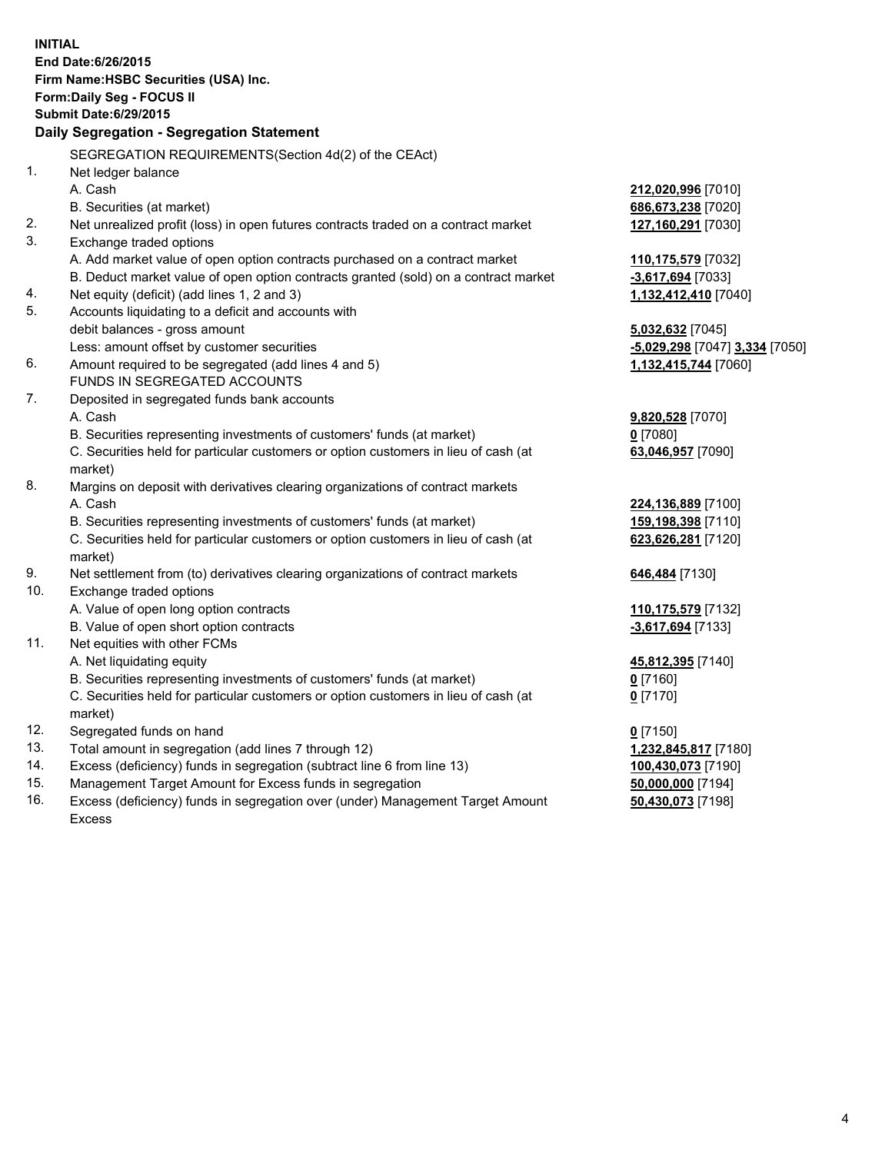| End Date: 6/26/2015<br>Firm Name: HSBC Securities (USA) Inc.<br>Form: Daily Seg - FOCUS II<br><b>Submit Date:6/29/2015</b><br>Daily Segregation - Segregation Statement<br>SEGREGATION REQUIREMENTS(Section 4d(2) of the CEAct)<br>1.<br>Net ledger balance<br>A. Cash<br>212,020,996 [7010]<br>B. Securities (at market)<br>686,673,238 [7020]<br>2.<br>Net unrealized profit (loss) in open futures contracts traded on a contract market<br>127,160,291 [7030]<br>3.<br>Exchange traded options<br>A. Add market value of open option contracts purchased on a contract market<br>110,175,579 [7032]<br>B. Deduct market value of open option contracts granted (sold) on a contract market<br>$-3,617,694$ [7033]<br>Net equity (deficit) (add lines 1, 2 and 3)<br>4.<br>1,132,412,410 [7040]<br>5.<br>Accounts liquidating to a deficit and accounts with<br>debit balances - gross amount<br>5,032,632 [7045]<br>Less: amount offset by customer securities<br>-5,029,298 [7047] 3,334 [7050]<br>6.<br>Amount required to be segregated (add lines 4 and 5)<br>1,132,415,744 [7060]<br>FUNDS IN SEGREGATED ACCOUNTS<br>7.<br>Deposited in segregated funds bank accounts<br>A. Cash<br>9,820,528 [7070]<br>$0$ [7080]<br>B. Securities representing investments of customers' funds (at market)<br>C. Securities held for particular customers or option customers in lieu of cash (at<br>63,046,957 [7090]<br>market)<br>8.<br>Margins on deposit with derivatives clearing organizations of contract markets<br>A. Cash<br>224,136,889 [7100]<br>B. Securities representing investments of customers' funds (at market)<br>159,198,398 [7110]<br>C. Securities held for particular customers or option customers in lieu of cash (at<br>623,626,281 [7120]<br>market)<br>9.<br>Net settlement from (to) derivatives clearing organizations of contract markets<br>646,484 [7130]<br>10.<br>Exchange traded options<br>A. Value of open long option contracts<br>110,175,579 [7132]<br>B. Value of open short option contracts<br>-3,617,694 [7133]<br>Net equities with other FCMs<br>11.<br>A. Net liquidating equity<br>45,812,395 [7140]<br>B. Securities representing investments of customers' funds (at market)<br><u>0</u> [7160]<br>C. Securities held for particular customers or option customers in lieu of cash (at<br>$0$ [7170]<br>market)<br>12.<br>Segregated funds on hand<br>$0$ [7150]<br>13.<br>Total amount in segregation (add lines 7 through 12)<br>1,232,845,817 [7180]<br>14.<br>Excess (deficiency) funds in segregation (subtract line 6 from line 13)<br>100,430,073 [7190]<br>Management Target Amount for Excess funds in segregation<br>15.<br>50,000,000 [7194] | <b>INITIAL</b> |                                                                                |                   |  |  |
|-----------------------------------------------------------------------------------------------------------------------------------------------------------------------------------------------------------------------------------------------------------------------------------------------------------------------------------------------------------------------------------------------------------------------------------------------------------------------------------------------------------------------------------------------------------------------------------------------------------------------------------------------------------------------------------------------------------------------------------------------------------------------------------------------------------------------------------------------------------------------------------------------------------------------------------------------------------------------------------------------------------------------------------------------------------------------------------------------------------------------------------------------------------------------------------------------------------------------------------------------------------------------------------------------------------------------------------------------------------------------------------------------------------------------------------------------------------------------------------------------------------------------------------------------------------------------------------------------------------------------------------------------------------------------------------------------------------------------------------------------------------------------------------------------------------------------------------------------------------------------------------------------------------------------------------------------------------------------------------------------------------------------------------------------------------------------------------------------------------------------------------------------------------------------------------------------------------------------------------------------------------------------------------------------------------------------------------------------------------------------------------------------------------------------------------------------------------------------------------------------------------------------------------------------------------------------------------------------------------------------------------------------------------------------------------------------------------|----------------|--------------------------------------------------------------------------------|-------------------|--|--|
|                                                                                                                                                                                                                                                                                                                                                                                                                                                                                                                                                                                                                                                                                                                                                                                                                                                                                                                                                                                                                                                                                                                                                                                                                                                                                                                                                                                                                                                                                                                                                                                                                                                                                                                                                                                                                                                                                                                                                                                                                                                                                                                                                                                                                                                                                                                                                                                                                                                                                                                                                                                                                                                                                                           |                |                                                                                |                   |  |  |
|                                                                                                                                                                                                                                                                                                                                                                                                                                                                                                                                                                                                                                                                                                                                                                                                                                                                                                                                                                                                                                                                                                                                                                                                                                                                                                                                                                                                                                                                                                                                                                                                                                                                                                                                                                                                                                                                                                                                                                                                                                                                                                                                                                                                                                                                                                                                                                                                                                                                                                                                                                                                                                                                                                           |                |                                                                                |                   |  |  |
|                                                                                                                                                                                                                                                                                                                                                                                                                                                                                                                                                                                                                                                                                                                                                                                                                                                                                                                                                                                                                                                                                                                                                                                                                                                                                                                                                                                                                                                                                                                                                                                                                                                                                                                                                                                                                                                                                                                                                                                                                                                                                                                                                                                                                                                                                                                                                                                                                                                                                                                                                                                                                                                                                                           |                |                                                                                |                   |  |  |
|                                                                                                                                                                                                                                                                                                                                                                                                                                                                                                                                                                                                                                                                                                                                                                                                                                                                                                                                                                                                                                                                                                                                                                                                                                                                                                                                                                                                                                                                                                                                                                                                                                                                                                                                                                                                                                                                                                                                                                                                                                                                                                                                                                                                                                                                                                                                                                                                                                                                                                                                                                                                                                                                                                           |                |                                                                                |                   |  |  |
|                                                                                                                                                                                                                                                                                                                                                                                                                                                                                                                                                                                                                                                                                                                                                                                                                                                                                                                                                                                                                                                                                                                                                                                                                                                                                                                                                                                                                                                                                                                                                                                                                                                                                                                                                                                                                                                                                                                                                                                                                                                                                                                                                                                                                                                                                                                                                                                                                                                                                                                                                                                                                                                                                                           |                |                                                                                |                   |  |  |
|                                                                                                                                                                                                                                                                                                                                                                                                                                                                                                                                                                                                                                                                                                                                                                                                                                                                                                                                                                                                                                                                                                                                                                                                                                                                                                                                                                                                                                                                                                                                                                                                                                                                                                                                                                                                                                                                                                                                                                                                                                                                                                                                                                                                                                                                                                                                                                                                                                                                                                                                                                                                                                                                                                           |                |                                                                                |                   |  |  |
|                                                                                                                                                                                                                                                                                                                                                                                                                                                                                                                                                                                                                                                                                                                                                                                                                                                                                                                                                                                                                                                                                                                                                                                                                                                                                                                                                                                                                                                                                                                                                                                                                                                                                                                                                                                                                                                                                                                                                                                                                                                                                                                                                                                                                                                                                                                                                                                                                                                                                                                                                                                                                                                                                                           |                |                                                                                |                   |  |  |
|                                                                                                                                                                                                                                                                                                                                                                                                                                                                                                                                                                                                                                                                                                                                                                                                                                                                                                                                                                                                                                                                                                                                                                                                                                                                                                                                                                                                                                                                                                                                                                                                                                                                                                                                                                                                                                                                                                                                                                                                                                                                                                                                                                                                                                                                                                                                                                                                                                                                                                                                                                                                                                                                                                           |                |                                                                                |                   |  |  |
|                                                                                                                                                                                                                                                                                                                                                                                                                                                                                                                                                                                                                                                                                                                                                                                                                                                                                                                                                                                                                                                                                                                                                                                                                                                                                                                                                                                                                                                                                                                                                                                                                                                                                                                                                                                                                                                                                                                                                                                                                                                                                                                                                                                                                                                                                                                                                                                                                                                                                                                                                                                                                                                                                                           |                |                                                                                |                   |  |  |
|                                                                                                                                                                                                                                                                                                                                                                                                                                                                                                                                                                                                                                                                                                                                                                                                                                                                                                                                                                                                                                                                                                                                                                                                                                                                                                                                                                                                                                                                                                                                                                                                                                                                                                                                                                                                                                                                                                                                                                                                                                                                                                                                                                                                                                                                                                                                                                                                                                                                                                                                                                                                                                                                                                           |                |                                                                                |                   |  |  |
|                                                                                                                                                                                                                                                                                                                                                                                                                                                                                                                                                                                                                                                                                                                                                                                                                                                                                                                                                                                                                                                                                                                                                                                                                                                                                                                                                                                                                                                                                                                                                                                                                                                                                                                                                                                                                                                                                                                                                                                                                                                                                                                                                                                                                                                                                                                                                                                                                                                                                                                                                                                                                                                                                                           |                |                                                                                |                   |  |  |
|                                                                                                                                                                                                                                                                                                                                                                                                                                                                                                                                                                                                                                                                                                                                                                                                                                                                                                                                                                                                                                                                                                                                                                                                                                                                                                                                                                                                                                                                                                                                                                                                                                                                                                                                                                                                                                                                                                                                                                                                                                                                                                                                                                                                                                                                                                                                                                                                                                                                                                                                                                                                                                                                                                           |                |                                                                                |                   |  |  |
|                                                                                                                                                                                                                                                                                                                                                                                                                                                                                                                                                                                                                                                                                                                                                                                                                                                                                                                                                                                                                                                                                                                                                                                                                                                                                                                                                                                                                                                                                                                                                                                                                                                                                                                                                                                                                                                                                                                                                                                                                                                                                                                                                                                                                                                                                                                                                                                                                                                                                                                                                                                                                                                                                                           |                |                                                                                |                   |  |  |
|                                                                                                                                                                                                                                                                                                                                                                                                                                                                                                                                                                                                                                                                                                                                                                                                                                                                                                                                                                                                                                                                                                                                                                                                                                                                                                                                                                                                                                                                                                                                                                                                                                                                                                                                                                                                                                                                                                                                                                                                                                                                                                                                                                                                                                                                                                                                                                                                                                                                                                                                                                                                                                                                                                           |                |                                                                                |                   |  |  |
|                                                                                                                                                                                                                                                                                                                                                                                                                                                                                                                                                                                                                                                                                                                                                                                                                                                                                                                                                                                                                                                                                                                                                                                                                                                                                                                                                                                                                                                                                                                                                                                                                                                                                                                                                                                                                                                                                                                                                                                                                                                                                                                                                                                                                                                                                                                                                                                                                                                                                                                                                                                                                                                                                                           |                |                                                                                |                   |  |  |
|                                                                                                                                                                                                                                                                                                                                                                                                                                                                                                                                                                                                                                                                                                                                                                                                                                                                                                                                                                                                                                                                                                                                                                                                                                                                                                                                                                                                                                                                                                                                                                                                                                                                                                                                                                                                                                                                                                                                                                                                                                                                                                                                                                                                                                                                                                                                                                                                                                                                                                                                                                                                                                                                                                           |                |                                                                                |                   |  |  |
|                                                                                                                                                                                                                                                                                                                                                                                                                                                                                                                                                                                                                                                                                                                                                                                                                                                                                                                                                                                                                                                                                                                                                                                                                                                                                                                                                                                                                                                                                                                                                                                                                                                                                                                                                                                                                                                                                                                                                                                                                                                                                                                                                                                                                                                                                                                                                                                                                                                                                                                                                                                                                                                                                                           |                |                                                                                |                   |  |  |
|                                                                                                                                                                                                                                                                                                                                                                                                                                                                                                                                                                                                                                                                                                                                                                                                                                                                                                                                                                                                                                                                                                                                                                                                                                                                                                                                                                                                                                                                                                                                                                                                                                                                                                                                                                                                                                                                                                                                                                                                                                                                                                                                                                                                                                                                                                                                                                                                                                                                                                                                                                                                                                                                                                           |                |                                                                                |                   |  |  |
|                                                                                                                                                                                                                                                                                                                                                                                                                                                                                                                                                                                                                                                                                                                                                                                                                                                                                                                                                                                                                                                                                                                                                                                                                                                                                                                                                                                                                                                                                                                                                                                                                                                                                                                                                                                                                                                                                                                                                                                                                                                                                                                                                                                                                                                                                                                                                                                                                                                                                                                                                                                                                                                                                                           |                |                                                                                |                   |  |  |
|                                                                                                                                                                                                                                                                                                                                                                                                                                                                                                                                                                                                                                                                                                                                                                                                                                                                                                                                                                                                                                                                                                                                                                                                                                                                                                                                                                                                                                                                                                                                                                                                                                                                                                                                                                                                                                                                                                                                                                                                                                                                                                                                                                                                                                                                                                                                                                                                                                                                                                                                                                                                                                                                                                           |                |                                                                                |                   |  |  |
|                                                                                                                                                                                                                                                                                                                                                                                                                                                                                                                                                                                                                                                                                                                                                                                                                                                                                                                                                                                                                                                                                                                                                                                                                                                                                                                                                                                                                                                                                                                                                                                                                                                                                                                                                                                                                                                                                                                                                                                                                                                                                                                                                                                                                                                                                                                                                                                                                                                                                                                                                                                                                                                                                                           |                |                                                                                |                   |  |  |
|                                                                                                                                                                                                                                                                                                                                                                                                                                                                                                                                                                                                                                                                                                                                                                                                                                                                                                                                                                                                                                                                                                                                                                                                                                                                                                                                                                                                                                                                                                                                                                                                                                                                                                                                                                                                                                                                                                                                                                                                                                                                                                                                                                                                                                                                                                                                                                                                                                                                                                                                                                                                                                                                                                           |                |                                                                                |                   |  |  |
|                                                                                                                                                                                                                                                                                                                                                                                                                                                                                                                                                                                                                                                                                                                                                                                                                                                                                                                                                                                                                                                                                                                                                                                                                                                                                                                                                                                                                                                                                                                                                                                                                                                                                                                                                                                                                                                                                                                                                                                                                                                                                                                                                                                                                                                                                                                                                                                                                                                                                                                                                                                                                                                                                                           |                |                                                                                |                   |  |  |
|                                                                                                                                                                                                                                                                                                                                                                                                                                                                                                                                                                                                                                                                                                                                                                                                                                                                                                                                                                                                                                                                                                                                                                                                                                                                                                                                                                                                                                                                                                                                                                                                                                                                                                                                                                                                                                                                                                                                                                                                                                                                                                                                                                                                                                                                                                                                                                                                                                                                                                                                                                                                                                                                                                           |                |                                                                                |                   |  |  |
|                                                                                                                                                                                                                                                                                                                                                                                                                                                                                                                                                                                                                                                                                                                                                                                                                                                                                                                                                                                                                                                                                                                                                                                                                                                                                                                                                                                                                                                                                                                                                                                                                                                                                                                                                                                                                                                                                                                                                                                                                                                                                                                                                                                                                                                                                                                                                                                                                                                                                                                                                                                                                                                                                                           |                |                                                                                |                   |  |  |
|                                                                                                                                                                                                                                                                                                                                                                                                                                                                                                                                                                                                                                                                                                                                                                                                                                                                                                                                                                                                                                                                                                                                                                                                                                                                                                                                                                                                                                                                                                                                                                                                                                                                                                                                                                                                                                                                                                                                                                                                                                                                                                                                                                                                                                                                                                                                                                                                                                                                                                                                                                                                                                                                                                           |                |                                                                                |                   |  |  |
|                                                                                                                                                                                                                                                                                                                                                                                                                                                                                                                                                                                                                                                                                                                                                                                                                                                                                                                                                                                                                                                                                                                                                                                                                                                                                                                                                                                                                                                                                                                                                                                                                                                                                                                                                                                                                                                                                                                                                                                                                                                                                                                                                                                                                                                                                                                                                                                                                                                                                                                                                                                                                                                                                                           |                |                                                                                |                   |  |  |
|                                                                                                                                                                                                                                                                                                                                                                                                                                                                                                                                                                                                                                                                                                                                                                                                                                                                                                                                                                                                                                                                                                                                                                                                                                                                                                                                                                                                                                                                                                                                                                                                                                                                                                                                                                                                                                                                                                                                                                                                                                                                                                                                                                                                                                                                                                                                                                                                                                                                                                                                                                                                                                                                                                           |                |                                                                                |                   |  |  |
|                                                                                                                                                                                                                                                                                                                                                                                                                                                                                                                                                                                                                                                                                                                                                                                                                                                                                                                                                                                                                                                                                                                                                                                                                                                                                                                                                                                                                                                                                                                                                                                                                                                                                                                                                                                                                                                                                                                                                                                                                                                                                                                                                                                                                                                                                                                                                                                                                                                                                                                                                                                                                                                                                                           |                |                                                                                |                   |  |  |
|                                                                                                                                                                                                                                                                                                                                                                                                                                                                                                                                                                                                                                                                                                                                                                                                                                                                                                                                                                                                                                                                                                                                                                                                                                                                                                                                                                                                                                                                                                                                                                                                                                                                                                                                                                                                                                                                                                                                                                                                                                                                                                                                                                                                                                                                                                                                                                                                                                                                                                                                                                                                                                                                                                           |                |                                                                                |                   |  |  |
|                                                                                                                                                                                                                                                                                                                                                                                                                                                                                                                                                                                                                                                                                                                                                                                                                                                                                                                                                                                                                                                                                                                                                                                                                                                                                                                                                                                                                                                                                                                                                                                                                                                                                                                                                                                                                                                                                                                                                                                                                                                                                                                                                                                                                                                                                                                                                                                                                                                                                                                                                                                                                                                                                                           |                |                                                                                |                   |  |  |
|                                                                                                                                                                                                                                                                                                                                                                                                                                                                                                                                                                                                                                                                                                                                                                                                                                                                                                                                                                                                                                                                                                                                                                                                                                                                                                                                                                                                                                                                                                                                                                                                                                                                                                                                                                                                                                                                                                                                                                                                                                                                                                                                                                                                                                                                                                                                                                                                                                                                                                                                                                                                                                                                                                           |                |                                                                                |                   |  |  |
|                                                                                                                                                                                                                                                                                                                                                                                                                                                                                                                                                                                                                                                                                                                                                                                                                                                                                                                                                                                                                                                                                                                                                                                                                                                                                                                                                                                                                                                                                                                                                                                                                                                                                                                                                                                                                                                                                                                                                                                                                                                                                                                                                                                                                                                                                                                                                                                                                                                                                                                                                                                                                                                                                                           |                |                                                                                |                   |  |  |
|                                                                                                                                                                                                                                                                                                                                                                                                                                                                                                                                                                                                                                                                                                                                                                                                                                                                                                                                                                                                                                                                                                                                                                                                                                                                                                                                                                                                                                                                                                                                                                                                                                                                                                                                                                                                                                                                                                                                                                                                                                                                                                                                                                                                                                                                                                                                                                                                                                                                                                                                                                                                                                                                                                           |                |                                                                                |                   |  |  |
|                                                                                                                                                                                                                                                                                                                                                                                                                                                                                                                                                                                                                                                                                                                                                                                                                                                                                                                                                                                                                                                                                                                                                                                                                                                                                                                                                                                                                                                                                                                                                                                                                                                                                                                                                                                                                                                                                                                                                                                                                                                                                                                                                                                                                                                                                                                                                                                                                                                                                                                                                                                                                                                                                                           |                |                                                                                |                   |  |  |
|                                                                                                                                                                                                                                                                                                                                                                                                                                                                                                                                                                                                                                                                                                                                                                                                                                                                                                                                                                                                                                                                                                                                                                                                                                                                                                                                                                                                                                                                                                                                                                                                                                                                                                                                                                                                                                                                                                                                                                                                                                                                                                                                                                                                                                                                                                                                                                                                                                                                                                                                                                                                                                                                                                           |                |                                                                                |                   |  |  |
|                                                                                                                                                                                                                                                                                                                                                                                                                                                                                                                                                                                                                                                                                                                                                                                                                                                                                                                                                                                                                                                                                                                                                                                                                                                                                                                                                                                                                                                                                                                                                                                                                                                                                                                                                                                                                                                                                                                                                                                                                                                                                                                                                                                                                                                                                                                                                                                                                                                                                                                                                                                                                                                                                                           |                |                                                                                |                   |  |  |
|                                                                                                                                                                                                                                                                                                                                                                                                                                                                                                                                                                                                                                                                                                                                                                                                                                                                                                                                                                                                                                                                                                                                                                                                                                                                                                                                                                                                                                                                                                                                                                                                                                                                                                                                                                                                                                                                                                                                                                                                                                                                                                                                                                                                                                                                                                                                                                                                                                                                                                                                                                                                                                                                                                           |                |                                                                                |                   |  |  |
|                                                                                                                                                                                                                                                                                                                                                                                                                                                                                                                                                                                                                                                                                                                                                                                                                                                                                                                                                                                                                                                                                                                                                                                                                                                                                                                                                                                                                                                                                                                                                                                                                                                                                                                                                                                                                                                                                                                                                                                                                                                                                                                                                                                                                                                                                                                                                                                                                                                                                                                                                                                                                                                                                                           |                |                                                                                |                   |  |  |
|                                                                                                                                                                                                                                                                                                                                                                                                                                                                                                                                                                                                                                                                                                                                                                                                                                                                                                                                                                                                                                                                                                                                                                                                                                                                                                                                                                                                                                                                                                                                                                                                                                                                                                                                                                                                                                                                                                                                                                                                                                                                                                                                                                                                                                                                                                                                                                                                                                                                                                                                                                                                                                                                                                           |                |                                                                                |                   |  |  |
|                                                                                                                                                                                                                                                                                                                                                                                                                                                                                                                                                                                                                                                                                                                                                                                                                                                                                                                                                                                                                                                                                                                                                                                                                                                                                                                                                                                                                                                                                                                                                                                                                                                                                                                                                                                                                                                                                                                                                                                                                                                                                                                                                                                                                                                                                                                                                                                                                                                                                                                                                                                                                                                                                                           |                |                                                                                |                   |  |  |
|                                                                                                                                                                                                                                                                                                                                                                                                                                                                                                                                                                                                                                                                                                                                                                                                                                                                                                                                                                                                                                                                                                                                                                                                                                                                                                                                                                                                                                                                                                                                                                                                                                                                                                                                                                                                                                                                                                                                                                                                                                                                                                                                                                                                                                                                                                                                                                                                                                                                                                                                                                                                                                                                                                           | 16.            | Excess (deficiency) funds in segregation over (under) Management Target Amount | 50,430,073 [7198] |  |  |

16. Excess (deficiency) funds in segregation over (under) Management Target Amount Excess

4